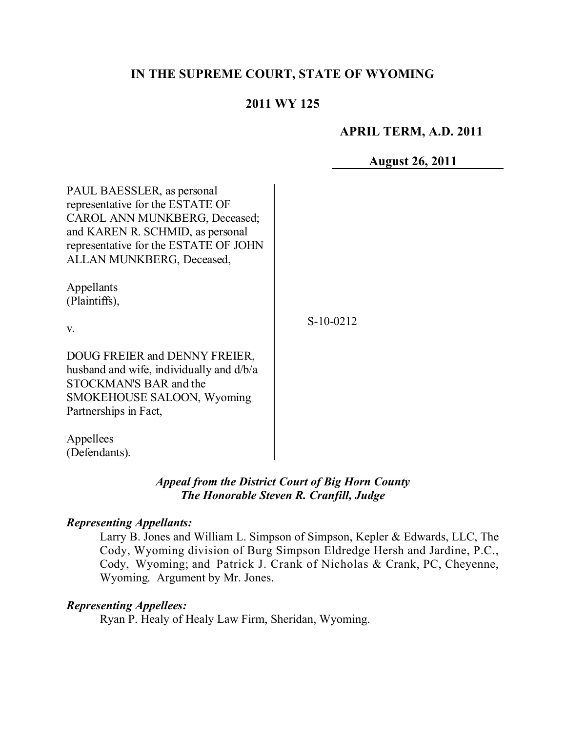## **IN THE SUPREME COURT, STATE OF WYOMING**

# **2011 WY 125**

## **APRIL TERM, A.D. 2011**

**August 26, 2011**

| PAUL BAESSLER, as personal<br>representative for the ESTATE OF<br><b>CAROL ANN MUNKBERG, Deceased;</b><br>and KAREN R. SCHMID, as personal<br>representative for the ESTATE OF JOHN<br>ALLAN MUNKBERG, Deceased, |             |
|------------------------------------------------------------------------------------------------------------------------------------------------------------------------------------------------------------------|-------------|
| Appellants<br>(Plaintiffs),                                                                                                                                                                                      |             |
| V.                                                                                                                                                                                                               | $S-10-0212$ |
| DOUG FREIER and DENNY FREIER,<br>husband and wife, individually and d/b/a<br>STOCKMAN'S BAR and the<br>SMOKEHOUSE SALOON, Wyoming<br>Partnerships in Fact,                                                       |             |
| Appellees<br>(Defendants).                                                                                                                                                                                       |             |

### *Appeal from the District Court of Big Horn County The Honorable Steven R. Cranfill, Judge*

#### *Representing Appellants:*

Larry B. Jones and William L. Simpson of Simpson, Kepler & Edwards, LLC, The Cody, Wyoming division of Burg Simpson Eldredge Hersh and Jardine, P.C., Cody, Wyoming; and Patrick J. Crank of Nicholas & Crank, PC, Cheyenne, Wyoming. Argument by Mr. Jones.

## *Representing Appellees:*

Ryan P. Healy of Healy Law Firm, Sheridan, Wyoming.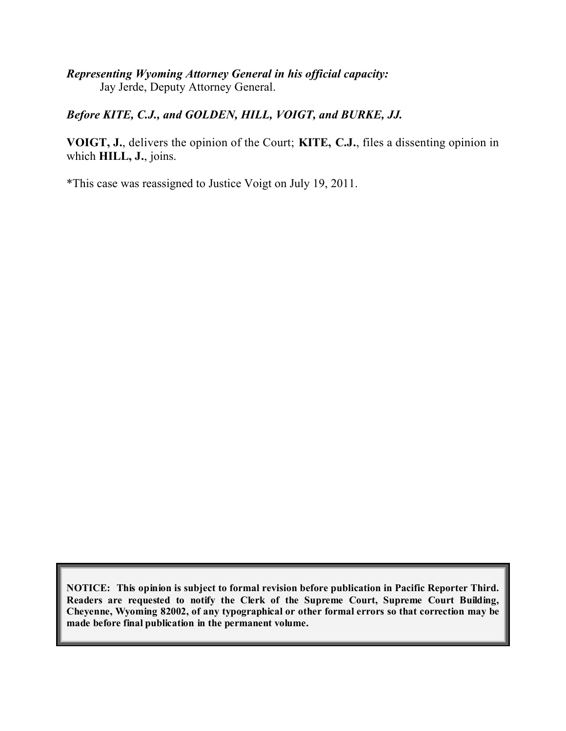### *Representing Wyoming Attorney General in his official capacity:* Jay Jerde, Deputy Attorney General.

#### *Before KITE, C.J., and GOLDEN, HILL, VOIGT, and BURKE, JJ.*

**VOIGT, J.**, delivers the opinion of the Court; **KITE, C.J.**, files a dissenting opinion in which **HILL, J.**, joins.

\*This case was reassigned to Justice Voigt on July 19, 2011.

**NOTICE: This opinion is subject to formal revision before publication in Pacific Reporter Third. Readers are requested to notify the Clerk of the Supreme Court, Supreme Court Building, Cheyenne, Wyoming 82002, of any typographical or other formal errors so that correction may be made before final publication in the permanent volume.**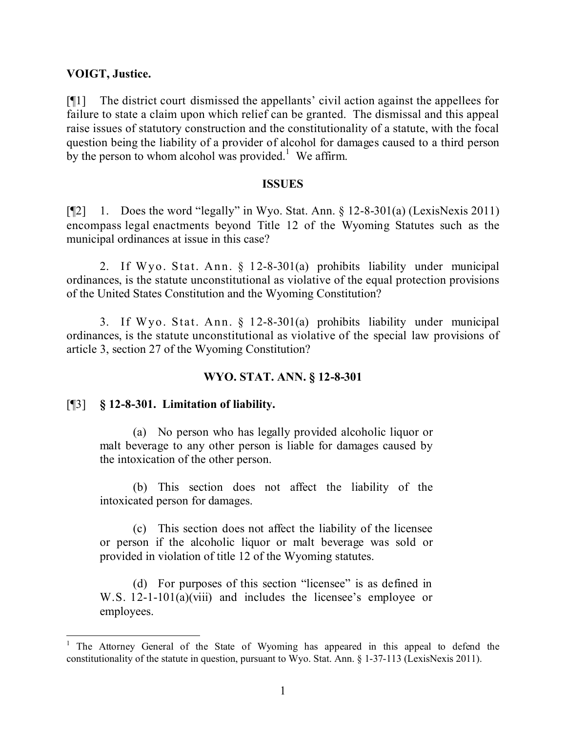#### **VOIGT, Justice.**

[¶1] The district court dismissed the appellants' civil action against the appellees for failure to state a claim upon which relief can be granted. The dismissal and this appeal raise issues of statutory construction and the constitutionality of a statute, with the focal question being the liability of a provider of alcohol for damages caused to a third person by the person to whom alcohol was provided.<sup>1</sup> We affirm.

#### **ISSUES**

[ $\mathbb{Z}$ ] 1. Does the word "legally" in Wyo. Stat. Ann. § 12-8-301(a) (LexisNexis 2011) encompass legal enactments beyond Title 12 of the Wyoming Statutes such as the municipal ordinances at issue in this case?

2. If Wyo. Stat. Ann. § 12-8-301(a) prohibits liability under municipal ordinances, is the statute unconstitutional as violative of the equal protection provisions of the United States Constitution and the Wyoming Constitution?

3. If Wyo. Stat. Ann. § 12-8-301(a) prohibits liability under municipal ordinances, is the statute unconstitutional as violative of the special law provisions of article 3, section 27 of the Wyoming Constitution?

### **WYO. STAT. ANN. § 12-8-301**

#### [¶3] **§ 12-8-301. Limitation of liability.**

(a) No person who has legally provided alcoholic liquor or malt beverage to any other person is liable for damages caused by the intoxication of the other person.

(b) This section does not affect the liability of the intoxicated person for damages.

(c) This section does not affect the liability of the licensee or person if the alcoholic liquor or malt beverage was sold or provided in violation of title 12 of the Wyoming statutes.

(d) For purposes of this section "licensee" is as defined in W.S. 12-1-101(a)(viii) and includes the licensee's employee or employees.

 <sup>1</sup> The Attorney General of the State of Wyoming has appeared in this appeal to defend the constitutionality of the statute in question, pursuant to Wyo. Stat. Ann. § 1-37-113 (LexisNexis 2011).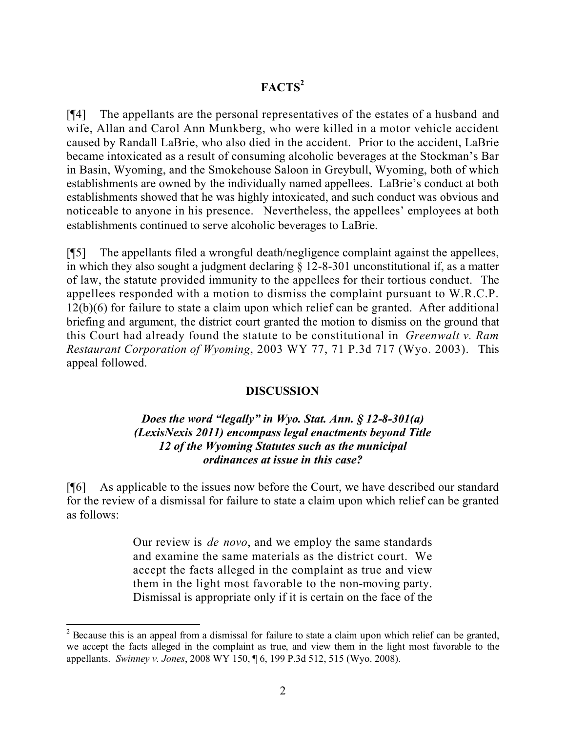# **FACTS<sup>2</sup>**

[¶4] The appellants are the personal representatives of the estates of a husband and wife, Allan and Carol Ann Munkberg, who were killed in a motor vehicle accident caused by Randall LaBrie, who also died in the accident. Prior to the accident, LaBrie became intoxicated as a result of consuming alcoholic beverages at the Stockman's Bar in Basin, Wyoming, and the Smokehouse Saloon in Greybull, Wyoming, both of which establishments are owned by the individually named appellees. LaBrie's conduct at both establishments showed that he was highly intoxicated, and such conduct was obvious and noticeable to anyone in his presence. Nevertheless, the appellees' employees at both establishments continued to serve alcoholic beverages to LaBrie.

[¶5] The appellants filed a wrongful death/negligence complaint against the appellees, in which they also sought a judgment declaring § 12-8-301 unconstitutional if, as a matter of law, the statute provided immunity to the appellees for their tortious conduct. The appellees responded with a motion to dismiss the complaint pursuant to W.R.C.P. 12(b)(6) for failure to state a claim upon which relief can be granted. After additional briefing and argument, the district court granted the motion to dismiss on the ground that this Court had already found the statute to be constitutional in *Greenwalt v. Ram Restaurant Corporation of Wyoming*, 2003 WY 77, 71 P.3d 717 (Wyo. 2003). This appeal followed.

#### **DISCUSSION**

### *Does the word "legally" in Wyo. Stat. Ann. § 12-8-301(a) (LexisNexis 2011) encompass legal enactments beyond Title 12 of the Wyoming Statutes such as the municipal ordinances at issue in this case?*

[¶6] As applicable to the issues now before the Court, we have described our standard for the review of a dismissal for failure to state a claim upon which relief can be granted as follows:

> Our review is *de novo*, and we employ the same standards and examine the same materials as the district court. We accept the facts alleged in the complaint as true and view them in the light most favorable to the non-moving party. Dismissal is appropriate only if it is certain on the face of the

  $2$  Because this is an appeal from a dismissal for failure to state a claim upon which relief can be granted, we accept the facts alleged in the complaint as true, and view them in the light most favorable to the appellants. *Swinney v. Jones*, 2008 WY 150, ¶ 6, 199 P.3d 512, 515 (Wyo. 2008).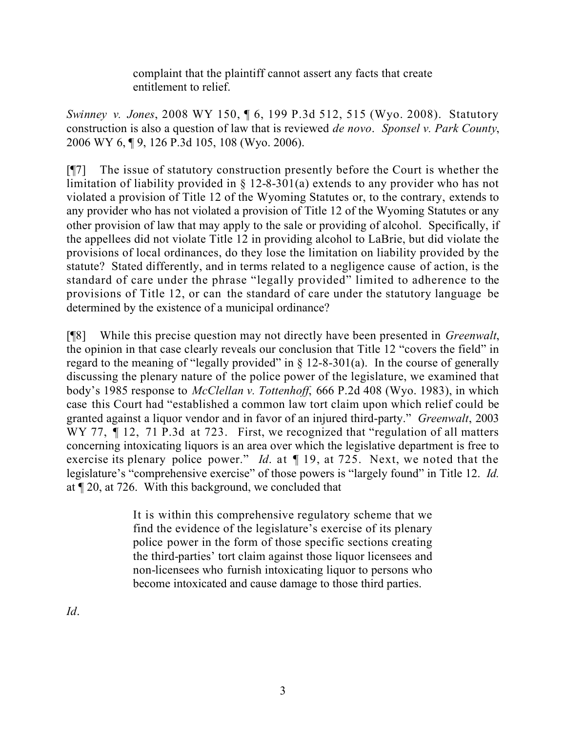complaint that the plaintiff cannot assert any facts that create entitlement to relief.

*Swinney v. Jones*, 2008 WY 150, ¶ 6, 199 P.3d 512, 515 (Wyo. 2008). Statutory construction is also a question of law that is reviewed *de novo*. *Sponsel v. Park County*, 2006 WY 6, ¶ 9, 126 P.3d 105, 108 (Wyo. 2006).

[¶7] The issue of statutory construction presently before the Court is whether the limitation of liability provided in § 12-8-301(a) extends to any provider who has not violated a provision of Title 12 of the Wyoming Statutes or, to the contrary, extends to any provider who has not violated a provision of Title 12 of the Wyoming Statutes or any other provision of law that may apply to the sale or providing of alcohol. Specifically, if the appellees did not violate Title 12 in providing alcohol to LaBrie, but did violate the provisions of local ordinances, do they lose the limitation on liability provided by the statute? Stated differently, and in terms related to a negligence cause of action, is the standard of care under the phrase "legally provided" limited to adherence to the provisions of Title 12, or can the standard of care under the statutory language be determined by the existence of a municipal ordinance?

[¶8] While this precise question may not directly have been presented in *Greenwalt*, the opinion in that case clearly reveals our conclusion that Title 12 "covers the field" in regard to the meaning of "legally provided" in  $\S$  12-8-301(a). In the course of generally discussing the plenary nature of the police power of the legislature, we examined that body's 1985 response to *McClellan v. Tottenhoff*, 666 P.2d 408 (Wyo. 1983), in which case this Court had "established a common law tort claim upon which relief could be granted against a liquor vendor and in favor of an injured third-party." *Greenwalt*, 2003 WY 77, ¶ 12, 71 P.3d at 723. First, we recognized that "regulation of all matters" concerning intoxicating liquors is an area over which the legislative department is free to exercise its plenary police power." *Id*. at ¶ 19, at 725. Next, we noted that the legislature's "comprehensive exercise" of those powers is "largely found" in Title 12. *Id.* at ¶ 20, at 726. With this background, we concluded that

> It is within this comprehensive regulatory scheme that we find the evidence of the legislature's exercise of its plenary police power in the form of those specific sections creating the third-parties' tort claim against those liquor licensees and non-licensees who furnish intoxicating liquor to persons who become intoxicated and cause damage to those third parties.

*Id*.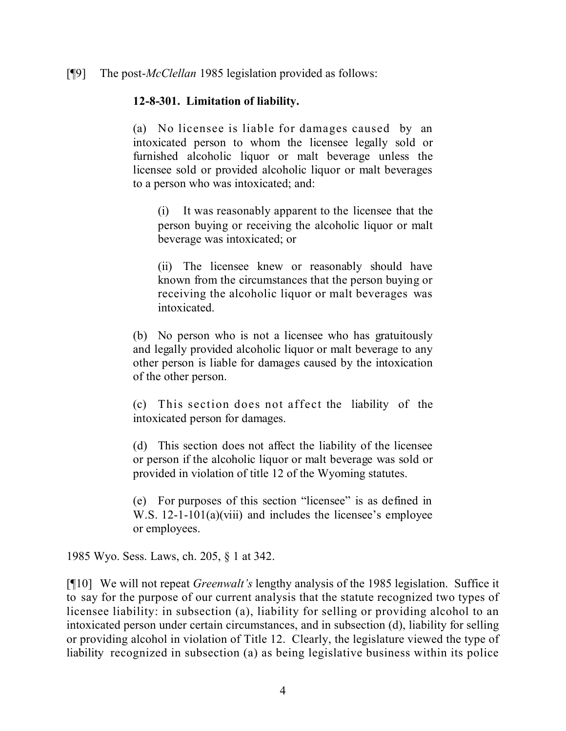[¶9] The post-*McClellan* 1985 legislation provided as follows:

### **12-8-301. Limitation of liability.**

(a) No licensee is liable for damages caused by an intoxicated person to whom the licensee legally sold or furnished alcoholic liquor or malt beverage unless the licensee sold or provided alcoholic liquor or malt beverages to a person who was intoxicated; and:

(i) It was reasonably apparent to the licensee that the person buying or receiving the alcoholic liquor or malt beverage was intoxicated; or

(ii) The licensee knew or reasonably should have known from the circumstances that the person buying or receiving the alcoholic liquor or malt beverages was intoxicated.

(b) No person who is not a licensee who has gratuitously and legally provided alcoholic liquor or malt beverage to any other person is liable for damages caused by the intoxication of the other person.

(c) This section does not affect the liability of the intoxicated person for damages.

(d) This section does not affect the liability of the licensee or person if the alcoholic liquor or malt beverage was sold or provided in violation of title 12 of the Wyoming statutes.

(e) For purposes of this section "licensee" is as defined in W.S. 12-1-101(a)(viii) and includes the licensee's employee or employees.

1985 Wyo. Sess. Laws, ch. 205, § 1 at 342.

[¶10] We will not repeat *Greenwalt's* lengthy analysis of the 1985 legislation. Suffice it to say for the purpose of our current analysis that the statute recognized two types of licensee liability: in subsection (a), liability for selling or providing alcohol to an intoxicated person under certain circumstances, and in subsection (d), liability for selling or providing alcohol in violation of Title 12. Clearly, the legislature viewed the type of liability recognized in subsection (a) as being legislative business within its police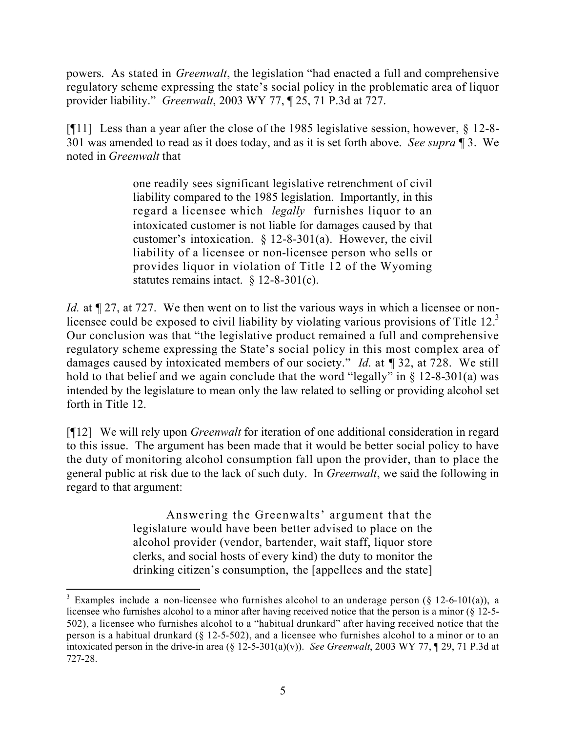powers. As stated in *Greenwalt*, the legislation "had enacted a full and comprehensive regulatory scheme expressing the state's social policy in the problematic area of liquor provider liability." *Greenwalt*, 2003 WY 77, ¶ 25, 71 P.3d at 727.

[¶11] Less than a year after the close of the 1985 legislative session, however, § 12-8- 301 was amended to read as it does today, and as it is set forth above. *See supra* ¶ 3. We noted in *Greenwalt* that

> one readily sees significant legislative retrenchment of civil liability compared to the 1985 legislation. Importantly, in this regard a licensee which *legally* furnishes liquor to an intoxicated customer is not liable for damages caused by that customer's intoxication. § 12-8-301(a). However, the civil liability of a licensee or non-licensee person who sells or provides liquor in violation of Title 12 of the Wyoming statutes remains intact. § 12-8-301(c).

*Id.* at  $\mathbb{I}$  27, at 727. We then went on to list the various ways in which a licensee or nonlicensee could be exposed to civil liability by violating various provisions of Title  $12<sup>3</sup>$ Our conclusion was that "the legislative product remained a full and comprehensive regulatory scheme expressing the State's social policy in this most complex area of damages caused by intoxicated members of our society." *Id*. at ¶ 32, at 728. We still hold to that belief and we again conclude that the word "legally" in  $\S$  12-8-301(a) was intended by the legislature to mean only the law related to selling or providing alcohol set forth in Title 12.

[¶12] We will rely upon *Greenwalt* for iteration of one additional consideration in regard to this issue. The argument has been made that it would be better social policy to have the duty of monitoring alcohol consumption fall upon the provider, than to place the general public at risk due to the lack of such duty. In *Greenwalt*, we said the following in regard to that argument:

> Answering the Greenwalts' argument that the legislature would have been better advised to place on the alcohol provider (vendor, bartender, wait staff, liquor store clerks, and social hosts of every kind) the duty to monitor the drinking citizen's consumption, the [appellees and the state]

<sup>&</sup>lt;sup>3</sup> Examples include a non-licensee who furnishes alcohol to an underage person (§ 12-6-101(a)), a licensee who furnishes alcohol to a minor after having received notice that the person is a minor (§ 12-5- 502), a licensee who furnishes alcohol to a "habitual drunkard" after having received notice that the person is a habitual drunkard (§ 12-5-502), and a licensee who furnishes alcohol to a minor or to an intoxicated person in the drive-in area (§ 12-5-301(a)(v)). *See Greenwalt*, 2003 WY 77, ¶ 29, 71 P.3d at 727-28.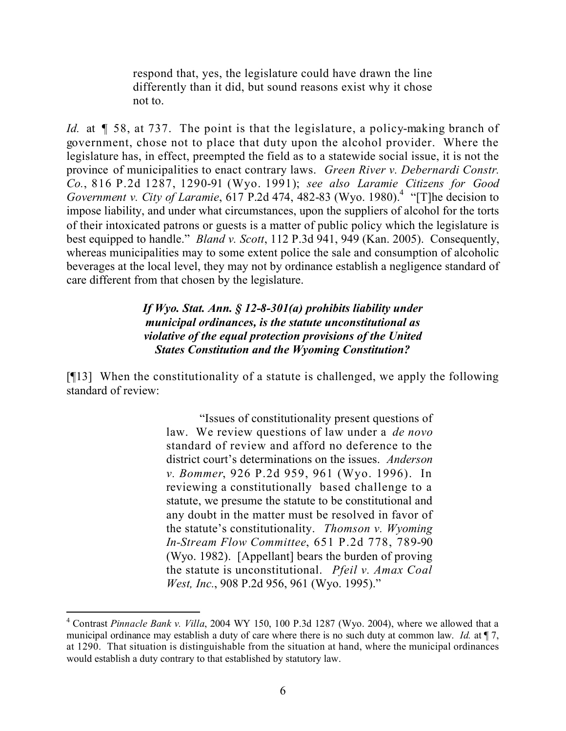respond that, yes, the legislature could have drawn the line differently than it did, but sound reasons exist why it chose not to.

*Id.* at  $\parallel$  58, at 737. The point is that the legislature, a policy-making branch of government, chose not to place that duty upon the alcohol provider. Where the legislature has, in effect, preempted the field as to a statewide social issue, it is not the province of municipalities to enact contrary laws. *Green River v. Debernardi Constr. Co.*, 816 P.2d 1287, 1290-91 (Wyo. 1991); *see also Laramie Citizens for Good Government v. City of Laramie*, 617 P.2d 474, 482-83 (Wyo. 1980).<sup>4</sup> "[T]he decision to impose liability, and under what circumstances, upon the suppliers of alcohol for the torts of their intoxicated patrons or guests is a matter of public policy which the legislature is best equipped to handle." *Bland v. Scott*, 112 P.3d 941, 949 (Kan. 2005). Consequently, whereas municipalities may to some extent police the sale and consumption of alcoholic beverages at the local level, they may not by ordinance establish a negligence standard of care different from that chosen by the legislature.

> *If Wyo. Stat. Ann. § 12-8-301(a) prohibits liability under municipal ordinances, is the statute unconstitutional as violative of the equal protection provisions of the United States Constitution and the Wyoming Constitution?*

[¶13] When the constitutionality of a statute is challenged, we apply the following standard of review:

> "Issues of constitutionality present questions of law. We review questions of law under a *de novo* standard of review and afford no deference to the district court's determinations on the issues. *Anderson v. Bommer*, 926 P.2d 959, 961 (Wyo. 1996). In reviewing a constitutionally based challenge to a statute, we presume the statute to be constitutional and any doubt in the matter must be resolved in favor of the statute's constitutionality. *Thomson v. Wyoming In-Stream Flow Committee*, 651 P.2d 778, 789-90 (Wyo. 1982). [Appellant] bears the burden of proving the statute is unconstitutional. *Pfeil v. Amax Coal West, Inc.*, 908 P.2d 956, 961 (Wyo. 1995)."

<sup>4</sup> Contrast *Pinnacle Bank v. Villa*, 2004 WY 150, 100 P.3d 1287 (Wyo. 2004), where we allowed that a municipal ordinance may establish a duty of care where there is no such duty at common law. *Id.* at  $\P$  7, at 1290. That situation is distinguishable from the situation at hand, where the municipal ordinances would establish a duty contrary to that established by statutory law.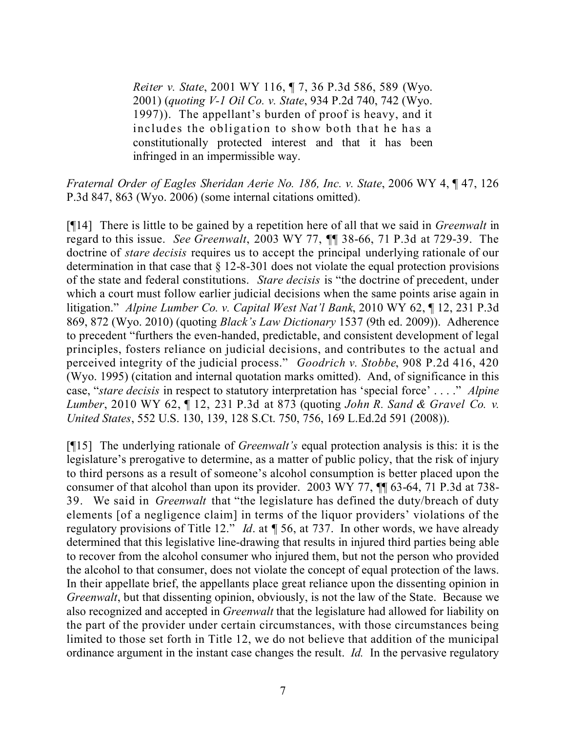*Reiter v. State*, 2001 WY 116, ¶ 7, 36 P.3d 586, 589 (Wyo. 2001) (*quoting V-1 Oil Co. v. State*, 934 P.2d 740, 742 (Wyo. 1997)). The appellant's burden of proof is heavy, and it includes the obligation to show both that he has a constitutionally protected interest and that it has been infringed in an impermissible way.

*Fraternal Order of Eagles Sheridan Aerie No. 186, Inc. v. State*, 2006 WY 4, ¶ 47, 126 P.3d 847, 863 (Wyo. 2006) (some internal citations omitted).

[¶14] There is little to be gained by a repetition here of all that we said in *Greenwalt* in regard to this issue. *See Greenwalt*, 2003 WY 77, ¶¶ 38-66, 71 P.3d at 729-39. The doctrine of *stare decisis* requires us to accept the principal underlying rationale of our determination in that case that § 12-8-301 does not violate the equal protection provisions of the state and federal constitutions. *Stare decisis* is "the doctrine of precedent, under which a court must follow earlier judicial decisions when the same points arise again in litigation." *Alpine Lumber Co. v. Capital West Nat'l Bank*, 2010 WY 62, ¶ 12, 231 P.3d 869, 872 (Wyo. 2010) (quoting *Black's Law Dictionary* 1537 (9th ed. 2009)). Adherence to precedent "furthers the even-handed, predictable, and consistent development of legal principles, fosters reliance on judicial decisions, and contributes to the actual and perceived integrity of the judicial process." *Goodrich v. Stobbe*, 908 P.2d 416, 420 (Wyo. 1995) (citation and internal quotation marks omitted). And, of significance in this case, "*stare decisis* in respect to statutory interpretation has 'special force' . . . ." *Alpine Lumber*, 2010 WY 62, ¶ 12, 231 P.3d at 873 (quoting *John R. Sand & Gravel Co. v. United States*, 552 U.S. 130, 139, 128 S.Ct. 750, 756, 169 L.Ed.2d 591 (2008)).

[¶15] The underlying rationale of *Greenwalt's* equal protection analysis is this: it is the legislature's prerogative to determine, as a matter of public policy, that the risk of injury to third persons as a result of someone's alcohol consumption is better placed upon the consumer of that alcohol than upon its provider. 2003 WY 77, ¶¶ 63-64, 71 P.3d at 738- 39. We said in *Greenwalt* that "the legislature has defined the duty/breach of duty elements [of a negligence claim] in terms of the liquor providers' violations of the regulatory provisions of Title 12." *Id*. at ¶ 56, at 737. In other words, we have already determined that this legislative line-drawing that results in injured third parties being able to recover from the alcohol consumer who injured them, but not the person who provided the alcohol to that consumer, does not violate the concept of equal protection of the laws. In their appellate brief, the appellants place great reliance upon the dissenting opinion in *Greenwalt*, but that dissenting opinion, obviously, is not the law of the State. Because we also recognized and accepted in *Greenwalt* that the legislature had allowed for liability on the part of the provider under certain circumstances, with those circumstances being limited to those set forth in Title 12, we do not believe that addition of the municipal ordinance argument in the instant case changes the result. *Id.* In the pervasive regulatory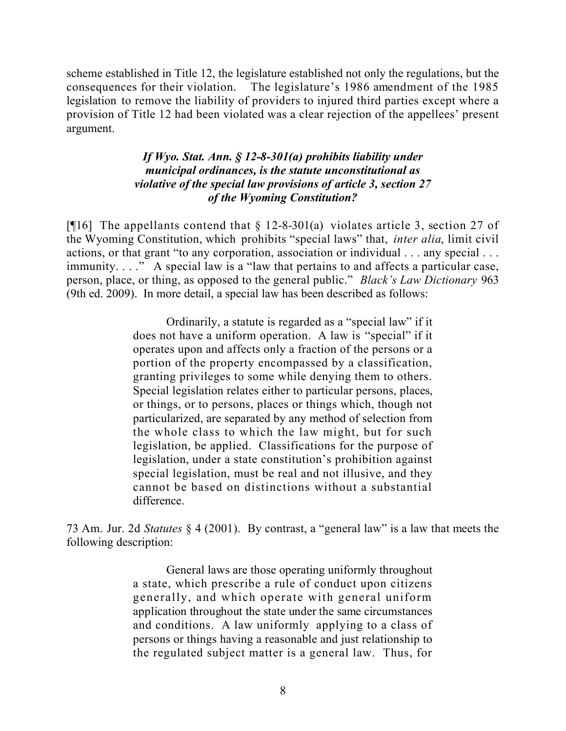scheme established in Title 12, the legislature established not only the regulations, but the consequences for their violation. The legislature's 1986 amendment of the 1985 legislation to remove the liability of providers to injured third parties except where a provision of Title 12 had been violated was a clear rejection of the appellees' present argument.

#### *If Wyo. Stat. Ann. § 12-8-301(a) prohibits liability under municipal ordinances, is the statute unconstitutional as violative of the special law provisions of article 3, section 27 of the Wyoming Constitution?*

[ $[16]$ ] The appellants contend that § 12-8-301(a) violates article 3, section 27 of the Wyoming Constitution, which prohibits "special laws" that, *inter alia*, limit civil actions, or that grant "to any corporation, association or individual . . . any special . . . immunity. . . ." A special law is a "law that pertains to and affects a particular case, person, place, or thing, as opposed to the general public." *Black's Law Dictionary* 963 (9th ed. 2009). In more detail, a special law has been described as follows:

> Ordinarily, a statute is regarded as a "special law" if it does not have a uniform operation. A law is "special" if it operates upon and affects only a fraction of the persons or a portion of the property encompassed by a classification, granting privileges to some while denying them to others. Special legislation relates either to particular persons, places, or things, or to persons, places or things which, though not particularized, are separated by any method of selection from the whole class to which the law might, but for such legislation, be applied. Classifications for the purpose of legislation, under a state constitution's prohibition against special legislation, must be real and not illusive, and they cannot be based on distinctions without a substantial difference.

73 Am. Jur. 2d *Statutes* § 4 (2001). By contrast, a "general law" is a law that meets the following description:

> General laws are those operating uniformly throughout a state, which prescribe a rule of conduct upon citizens generally, and which operate with general uniform application throughout the state under the same circumstances and conditions. A law uniformly applying to a class of persons or things having a reasonable and just relationship to the regulated subject matter is a general law. Thus, for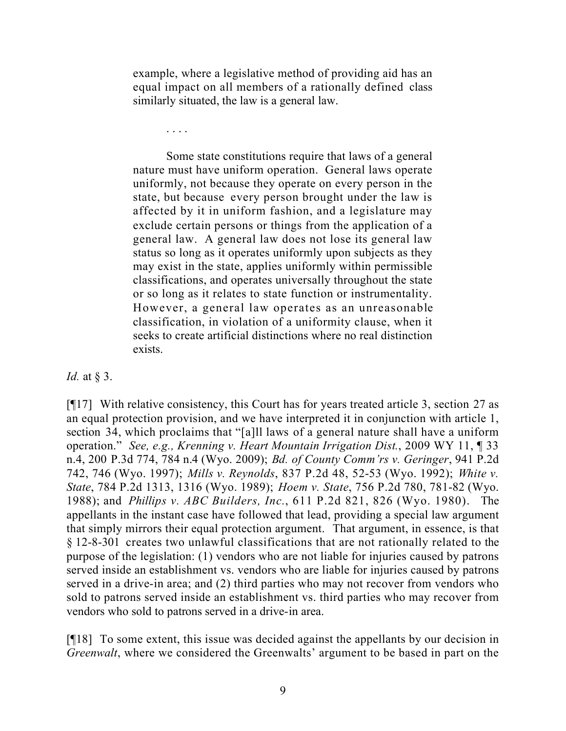example, where a legislative method of providing aid has an equal impact on all members of a rationally defined class similarly situated, the law is a general law.

. . . .

Some state constitutions require that laws of a general nature must have uniform operation. General laws operate uniformly, not because they operate on every person in the state, but because every person brought under the law is affected by it in uniform fashion, and a legislature may exclude certain persons or things from the application of a general law. A general law does not lose its general law status so long as it operates uniformly upon subjects as they may exist in the state, applies uniformly within permissible classifications, and operates universally throughout the state or so long as it relates to state function or instrumentality. However, a general law operates as an unreasonable classification, in violation of a uniformity clause, when it seeks to create artificial distinctions where no real distinction exists.

#### *Id.* at § 3.

[¶17] With relative consistency, this Court has for years treated article 3, section 27 as an equal protection provision, and we have interpreted it in conjunction with article 1, section 34, which proclaims that "[a]ll laws of a general nature shall have a uniform operation." *See, e.g., Krenning v. Heart Mountain Irrigation Dist.*, 2009 WY 11, ¶ 33 n.4, 200 P.3d 774, 784 n.4 (Wyo. 2009); *Bd. of County Comm'rs v. Geringer*, 941 P.2d 742, 746 (Wyo. 1997); *Mills v. Reynolds*, 837 P.2d 48, 52-53 (Wyo. 1992); *White v. State*, 784 P.2d 1313, 1316 (Wyo. 1989); *Hoem v. State*, 756 P.2d 780, 781-82 (Wyo. 1988); and *Phillips v. ABC Builders, Inc.*, 611 P.2d 821, 826 (Wyo. 1980). The appellants in the instant case have followed that lead, providing a special law argument that simply mirrors their equal protection argument. That argument, in essence, is that § 12-8-301 creates two unlawful classifications that are not rationally related to the purpose of the legislation: (1) vendors who are not liable for injuries caused by patrons served inside an establishment vs. vendors who are liable for injuries caused by patrons served in a drive-in area; and (2) third parties who may not recover from vendors who sold to patrons served inside an establishment vs. third parties who may recover from vendors who sold to patrons served in a drive-in area.

[¶18] To some extent, this issue was decided against the appellants by our decision in *Greenwalt*, where we considered the Greenwalts' argument to be based in part on the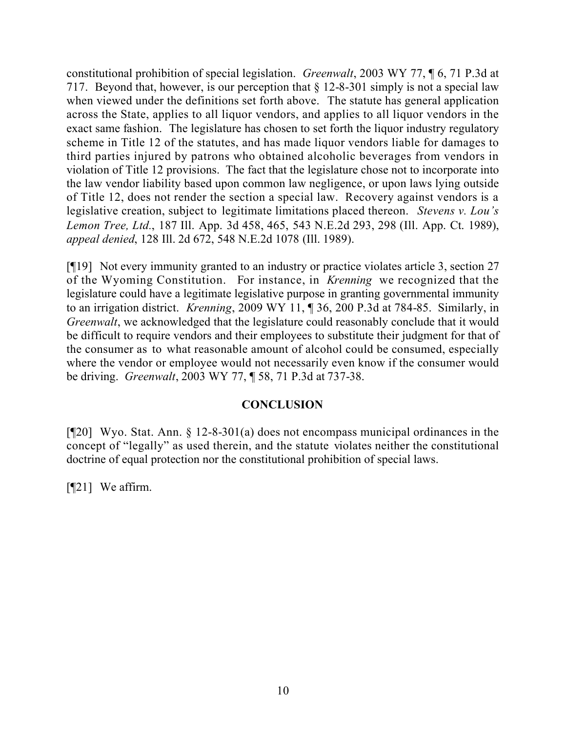constitutional prohibition of special legislation. *Greenwalt*, 2003 WY 77, ¶ 6, 71 P.3d at 717. Beyond that, however, is our perception that § 12-8-301 simply is not a special law when viewed under the definitions set forth above. The statute has general application across the State, applies to all liquor vendors, and applies to all liquor vendors in the exact same fashion. The legislature has chosen to set forth the liquor industry regulatory scheme in Title 12 of the statutes, and has made liquor vendors liable for damages to third parties injured by patrons who obtained alcoholic beverages from vendors in violation of Title 12 provisions. The fact that the legislature chose not to incorporate into the law vendor liability based upon common law negligence, or upon laws lying outside of Title 12, does not render the section a special law. Recovery against vendors is a legislative creation, subject to legitimate limitations placed thereon. *Stevens v. Lou's Lemon Tree, Ltd.*, 187 Ill. App. 3d 458, 465, 543 N.E.2d 293, 298 (Ill. App. Ct. 1989), *appeal denied*, 128 Ill. 2d 672, 548 N.E.2d 1078 (Ill. 1989).

[¶19] Not every immunity granted to an industry or practice violates article 3, section 27 of the Wyoming Constitution. For instance, in *Krenning* we recognized that the legislature could have a legitimate legislative purpose in granting governmental immunity to an irrigation district. *Krenning*, 2009 WY 11, ¶ 36, 200 P.3d at 784-85. Similarly, in *Greenwalt*, we acknowledged that the legislature could reasonably conclude that it would be difficult to require vendors and their employees to substitute their judgment for that of the consumer as to what reasonable amount of alcohol could be consumed, especially where the vendor or employee would not necessarily even know if the consumer would be driving. *Greenwalt*, 2003 WY 77, ¶ 58, 71 P.3d at 737-38.

### **CONCLUSION**

[¶20] Wyo. Stat. Ann. § 12-8-301(a) does not encompass municipal ordinances in the concept of "legally" as used therein, and the statute violates neither the constitutional doctrine of equal protection nor the constitutional prohibition of special laws.

[**[**[21] We affirm.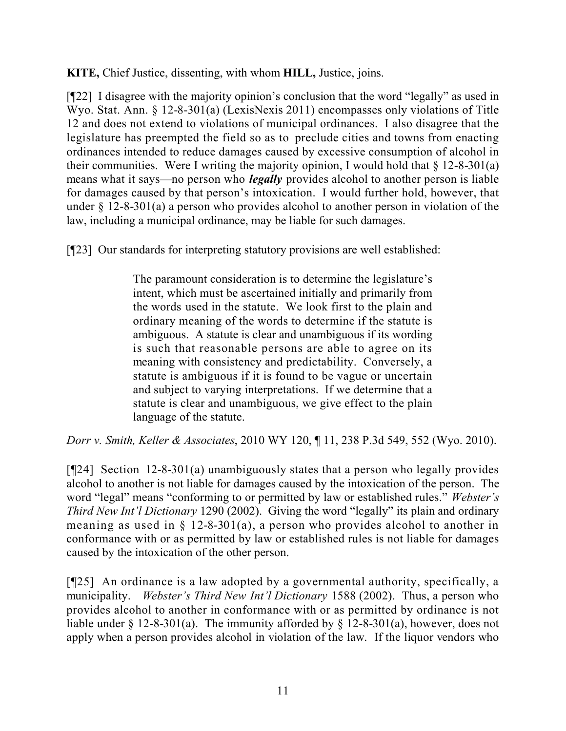**KITE,** Chief Justice, dissenting, with whom **HILL,** Justice, joins.

[¶22] I disagree with the majority opinion's conclusion that the word "legally" as used in Wyo. Stat. Ann. § 12-8-301(a) (LexisNexis 2011) encompasses only violations of Title 12 and does not extend to violations of municipal ordinances. I also disagree that the legislature has preempted the field so as to preclude cities and towns from enacting ordinances intended to reduce damages caused by excessive consumption of alcohol in their communities. Were I writing the majority opinion, I would hold that  $\S$  12-8-301(a) means what it says—no person who *legally* provides alcohol to another person is liable for damages caused by that person's intoxication. I would further hold, however, that under § 12-8-301(a) a person who provides alcohol to another person in violation of the law, including a municipal ordinance, may be liable for such damages.

[¶23] Our standards for interpreting statutory provisions are well established:

The paramount consideration is to determine the legislature's intent, which must be ascertained initially and primarily from the words used in the statute. We look first to the plain and ordinary meaning of the words to determine if the statute is ambiguous. A statute is clear and unambiguous if its wording is such that reasonable persons are able to agree on its meaning with consistency and predictability. Conversely, a statute is ambiguous if it is found to be vague or uncertain and subject to varying interpretations. If we determine that a statute is clear and unambiguous, we give effect to the plain language of the statute.

*Dorr v. Smith, Keller & Associates*, 2010 WY 120, ¶ 11, 238 P.3d 549, 552 (Wyo. 2010).

[¶24] Section 12-8-301(a) unambiguously states that a person who legally provides alcohol to another is not liable for damages caused by the intoxication of the person. The word "legal" means "conforming to or permitted by law or established rules." *Webster's Third New Int'l Dictionary* 1290 (2002). Giving the word "legally" its plain and ordinary meaning as used in  $\S$  12-8-301(a), a person who provides alcohol to another in conformance with or as permitted by law or established rules is not liable for damages caused by the intoxication of the other person.

[¶25] An ordinance is a law adopted by a governmental authority, specifically, a municipality. *Webster's Third New Int'l Dictionary* 1588 (2002). Thus, a person who provides alcohol to another in conformance with or as permitted by ordinance is not liable under  $\S 12$ -8-301(a). The immunity afforded by  $\S 12$ -8-301(a), however, does not apply when a person provides alcohol in violation of the law. If the liquor vendors who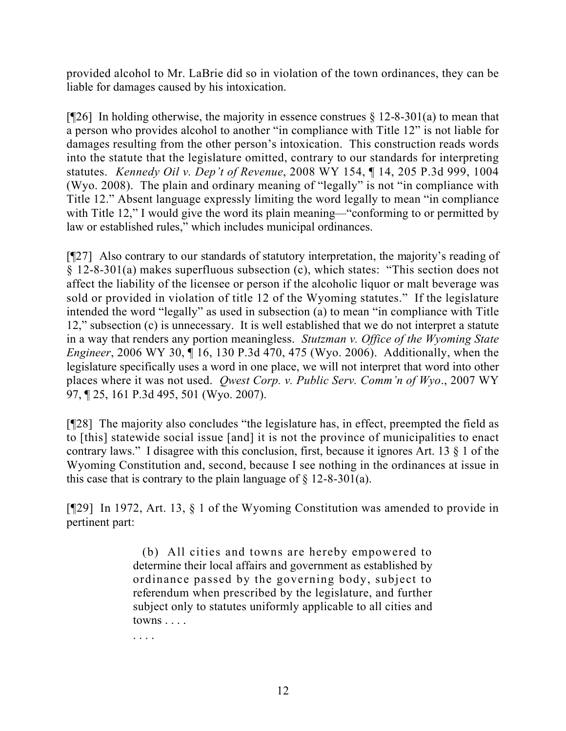provided alcohol to Mr. LaBrie did so in violation of the town ordinances, they can be liable for damages caused by his intoxication.

[ $[26]$ ] In holding otherwise, the majority in essence construes  $\S$  12-8-301(a) to mean that a person who provides alcohol to another "in compliance with Title 12" is not liable for damages resulting from the other person's intoxication. This construction reads words into the statute that the legislature omitted, contrary to our standards for interpreting statutes. *Kennedy Oil v. Dep't of Revenue*, 2008 WY 154, ¶ 14, 205 P.3d 999, 1004 (Wyo. 2008). The plain and ordinary meaning of "legally" is not "in compliance with Title 12." Absent language expressly limiting the word legally to mean "in compliance with Title 12," I would give the word its plain meaning—"conforming to or permitted by law or established rules," which includes municipal ordinances.

[¶27] Also contrary to our standards of statutory interpretation, the majority's reading of § 12-8-301(a) makes superfluous subsection (c), which states: "This section does not affect the liability of the licensee or person if the alcoholic liquor or malt beverage was sold or provided in violation of title 12 of the Wyoming statutes." If the legislature intended the word "legally" as used in subsection (a) to mean "in compliance with Title 12," subsection (c) is unnecessary. It is well established that we do not interpret a statute in a way that renders any portion meaningless. *Stutzman v. Office of the Wyoming State Engineer*, 2006 WY 30, ¶ 16, 130 P.3d 470, 475 (Wyo. 2006). Additionally, when the legislature specifically uses a word in one place, we will not interpret that word into other places where it was not used. *Qwest Corp. v. Public Serv. Comm'n of Wyo*., 2007 WY 97, ¶ 25, 161 P.3d 495, 501 (Wyo. 2007).

[¶28] The majority also concludes "the legislature has, in effect, preempted the field as to [this] statewide social issue [and] it is not the province of municipalities to enact contrary laws." I disagree with this conclusion, first, because it ignores Art. 13 § 1 of the Wyoming Constitution and, second, because I see nothing in the ordinances at issue in this case that is contrary to the plain language of  $\S$  12-8-301(a).

[¶29] In 1972, Art. 13, § 1 of the Wyoming Constitution was amended to provide in pertinent part:

> (b) All cities and towns are hereby empowered to determine their local affairs and government as established by ordinance passed by the governing body, subject to referendum when prescribed by the legislature, and further subject only to statutes uniformly applicable to all cities and towns . . . .

. . . .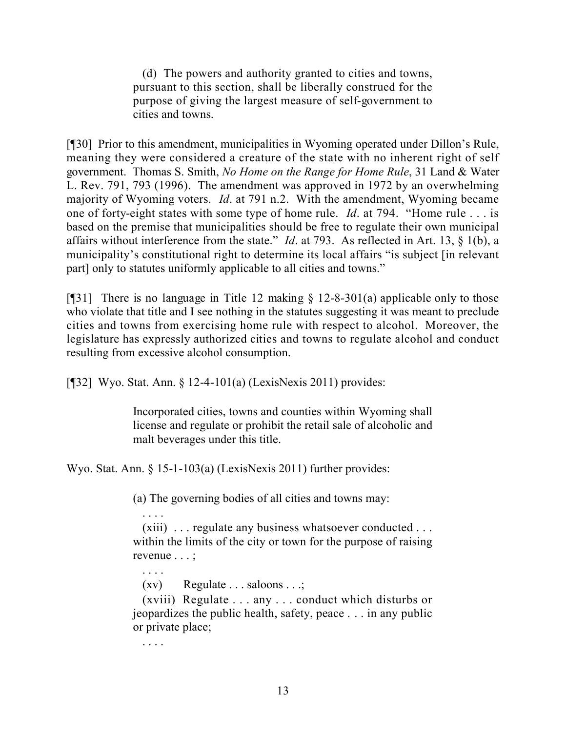(d) The powers and authority granted to cities and towns, pursuant to this section, shall be liberally construed for the purpose of giving the largest measure of self-government to cities and towns.

[¶30] Prior to this amendment, municipalities in Wyoming operated under Dillon's Rule, meaning they were considered a creature of the state with no inherent right of self government. Thomas S. Smith, *No Home on the Range for Home Rule*, 31 Land & Water L. Rev. 791, 793 (1996). The amendment was approved in 1972 by an overwhelming majority of Wyoming voters. *Id*. at 791 n.2. With the amendment, Wyoming became one of forty-eight states with some type of home rule. *Id*. at 794. "Home rule . . . is based on the premise that municipalities should be free to regulate their own municipal affairs without interference from the state." *Id*. at 793. As reflected in Art. 13, § 1(b), a municipality's constitutional right to determine its local affairs "is subject [in relevant part] only to statutes uniformly applicable to all cities and towns."

[ $[$ [31] There is no language in Title 12 making § 12-8-301(a) applicable only to those who violate that title and I see nothing in the statutes suggesting it was meant to preclude cities and towns from exercising home rule with respect to alcohol. Moreover, the legislature has expressly authorized cities and towns to regulate alcohol and conduct resulting from excessive alcohol consumption.

[¶32] Wyo. Stat. Ann. § 12-4-101(a) (LexisNexis 2011) provides:

Incorporated cities, towns and counties within Wyoming shall license and regulate or prohibit the retail sale of alcoholic and malt beverages under this title.

Wyo. Stat. Ann. § 15-1-103(a) (LexisNexis 2011) further provides:

(a) The governing bodies of all cities and towns may:

 . . . . (xiii) . . . regulate any business whatsoever conducted . . . within the limits of the city or town for the purpose of raising revenue . . . ;

 $(xv)$  Regulate  $\ldots$  saloons  $\ldots$ ;

 (xviii) Regulate . . . any . . . conduct which disturbs or jeopardizes the public health, safety, peace . . . in any public or private place;

. . . .

. . . .